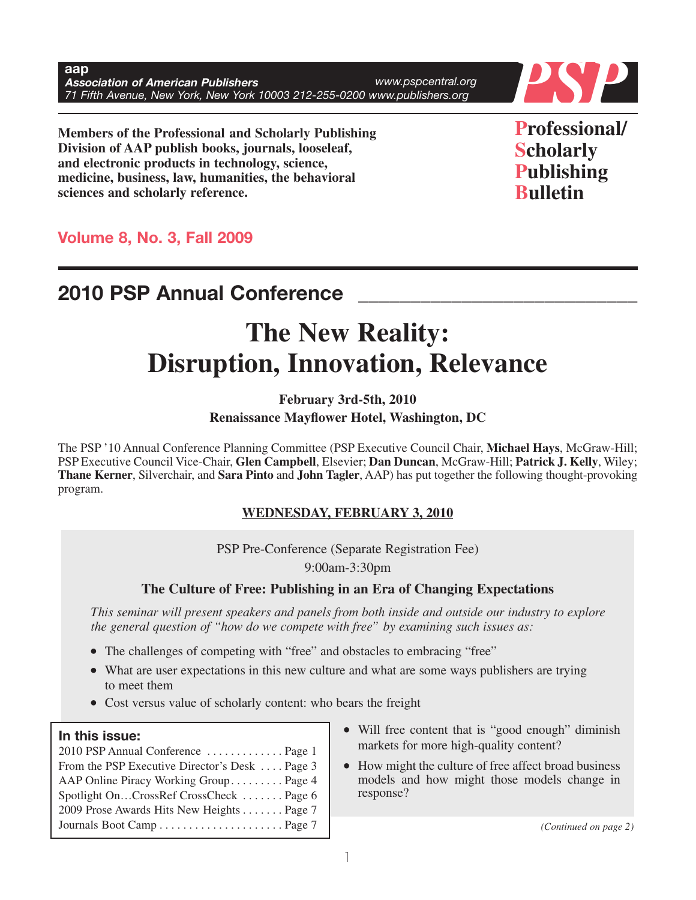**aap Association of American Publishers 71 Figure 71 Figure 71 Figure 71 Figure 71 Figure 71 Figure 71 Figure 71 Figure 71 Figure 71 Figure 71 Figure 71 Figure 71 Figure 71 Figure 71 Figure 71 Figure 71 Figure 71 Figure 71** *www.pspcentral.org*



**Members of the Professional and Scholarly Publishing Division of AAP publish books, journals, looseleaf, and electronic products in technology, science, medicine, business, law, humanities, the behavioral sciences and scholarly reference.**

**Professional/ Scholarly Publishing Bulletin**

**Volume 8, No. 3, Fall 2009**

## **2010 PSP Annual Conference \_\_\_\_\_\_\_\_\_\_\_\_\_\_\_\_\_\_\_\_\_\_\_\_\_\_\_**

# **The New Reality: Disruption, Innovation, Relevance**

**February 3rd-5th, 2010 Renaissance Mayflower Hotel, Washington, DC**

The PSP '10 Annual Conference Planning Committee (PSP Executive Council Chair, **Michael Hays**, McGraw-Hill; PSP Executive Council Vice-Chair, **Glen Campbell**, Elsevier; **Dan Duncan**, McGraw-Hill; **Patrick J. Kelly**, Wiley; **Thane Kerner**, Silverchair, and **Sara Pinto** and **John Tagler**, AAP) has put together the following thought-provoking program.

### **WEDNESDAY, FEBRUARY 3, 2010**

PSP Pre-Conference (Separate Registration Fee)

9:00am-3:30pm

## **The Culture of Free: Publishing in an Era of Changing Expectations**

*This seminar will present speakers and panels from both inside and outside our industry to explore the general question of "how do we compete with free" by examining such issues as:*

- The challenges of competing with "free" and obstacles to embracing "free"
- What are user expectations in this new culture and what are some ways publishers are trying to meet them
- Cost versus value of scholarly content: who bears the freight

#### **In this issue:**

| 2010 PSP Annual Conference  Page 1             |  |
|------------------------------------------------|--|
| From the PSP Executive Director's Desk  Page 3 |  |
| AAP Online Piracy Working Group Page 4         |  |
| Spotlight OnCrossRef CrossCheck  Page 6        |  |
| 2009 Prose Awards Hits New Heights Page 7      |  |
|                                                |  |

- Will free content that is "good enough" diminish markets for more high-quality content?
- How might the culture of free affect broad business models and how might those models change in response?

Journals Boot Camp . . . . . . . . . . . . . . . . . . . . . Page 7 *(Continued on page 2)*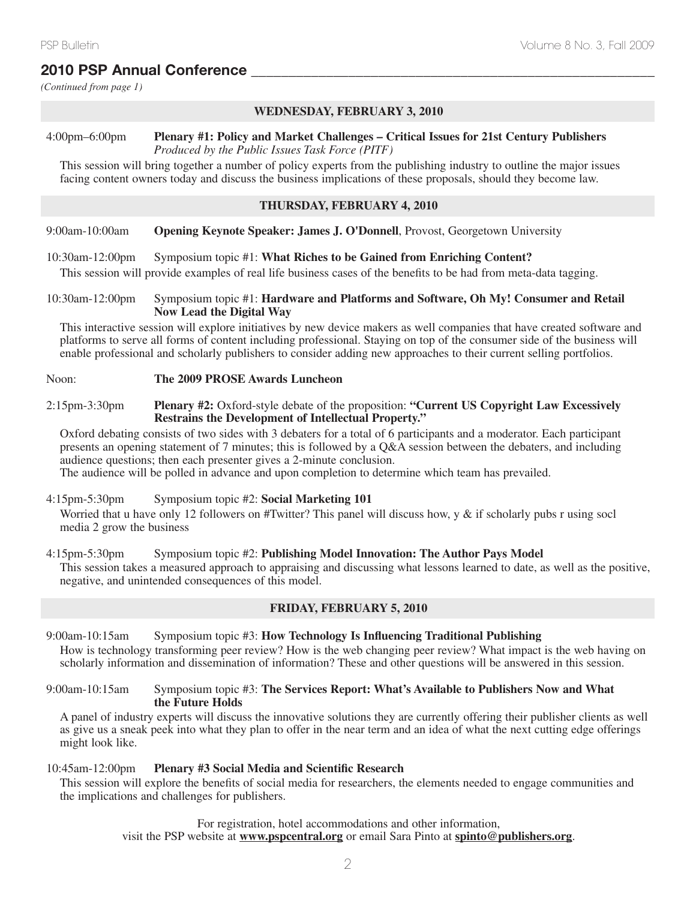## **2010 PSP Annual Conference \_\_\_\_\_\_\_\_\_\_\_\_\_\_\_\_\_\_\_\_\_\_\_\_\_\_\_\_\_\_\_\_\_\_\_\_\_\_\_\_\_\_\_\_\_\_\_\_\_\_\_\_\_\_**

*(Continued from page 1)*

#### **WEDNESDAY, FEBRUARY 3, 2010**

## 4:00pm–6:00pm **Plenary #1: Policy and Market Challenges – Critical Issues for 21st Century Publishers**

*Produced by the Public Issues Task Force (PITF)*

This session will bring together a number of policy experts from the publishing industry to outline the major issues facing content owners today and discuss the business implications of these proposals, should they become law.

#### **THURSDAY, FEBRUARY 4, 2010**

9:00am-10:00am **Opening Keynote Speaker: James J. O'Donnell**, Provost, Georgetown University

#### 10:30am-12:00pm Symposium topic #1: **What Riches to be Gained from Enriching Content?**

This session will provide examples of real life business cases of the benefits to be had from meta-data tagging.

#### 10:30am-12:00pm Symposium topic #1: **Hardware and Platforms and Software, Oh My! Consumer and Retail Now Lead the Digital Way**

This interactive session will explore initiatives by new device makers as well companies that have created software and platforms to serve all forms of content including professional. Staying on top of the consumer side of the business will enable professional and scholarly publishers to consider adding new approaches to their current selling portfolios.

#### Noon: **The 2009 PROSE Awards Luncheon**

#### 2:15pm-3:30pm **Plenary #2:** Oxford-style debate of the proposition: **"Current US Copyright Law Excessively Restrains the Development of Intellectual Property."**

Oxford debating consists of two sides with 3 debaters for a total of 6 participants and a moderator. Each participant presents an opening statement of 7 minutes; this is followed by a Q&A session between the debaters, and including audience questions; then each presenter gives a 2-minute conclusion.

The audience will be polled in advance and upon completion to determine which team has prevailed.

#### 4:15pm-5:30pm Symposium topic #2: **Social Marketing 101**

Worried that u have only 12 followers on #Twitter? This panel will discuss how,  $y \&$  if scholarly pubs r using socl media 2 grow the business

#### 4:15pm-5:30pm Symposium topic #2: **Publishing Model Innovation: The Author Pays Model** This session takes a measured approach to appraising and discussing what lessons learned to date, as well as the positive, negative, and unintended consequences of this model.

#### **FRIDAY, FEBRUARY 5, 2010**

9:00am-10:15am Symposium topic #3: **How Technology Is Influencing Traditional Publishing** How is technology transforming peer review? How is the web changing peer review? What impact is the web having on scholarly information and dissemination of information? These and other questions will be answered in this session.

#### 9:00am-10:15am Symposium topic #3: **The Services Report: What's Available to Publishers Now and What the Future Holds**

A panel of industry experts will discuss the innovative solutions they are currently offering their publisher clients as well as give us a sneak peek into what they plan to offer in the near term and an idea of what the next cutting edge offerings might look like.

#### 10:45am-12:00pm **Plenary #3 Social Media and Scientific Research**

This session will explore the benefits of social media for researchers, the elements needed to engage communities and the implications and challenges for publishers.

> For registration, hotel accommodations and other information, visit the PSP website at **www.pspcentral.org** or email Sara Pinto at **spinto@publishers.org**.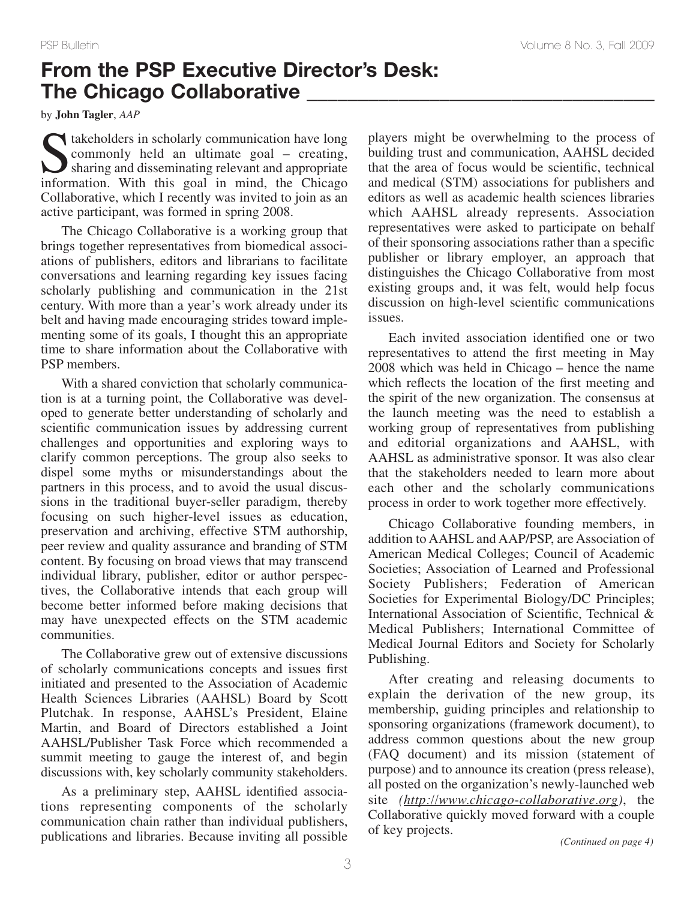## **From the PSP Executive Director's Desk: The Chicago Collaborative \_\_\_\_\_\_\_\_\_\_\_\_\_\_\_\_\_\_\_\_\_\_\_\_\_\_\_\_\_\_\_\_\_\_**

by **John Tagler**, *AAP*

Stakeholders in scholarly communication have long<br>commonly held an ultimate goal – creating,<br>sharing and disseminating relevant and appropriate<br>information. With this goal in mind, the Chicago commonly held an ultimate goal – creating, sharing and disseminating relevant and appropriate information. With this goal in mind, the Chicago Collaborative, which I recently was invited to join as an active participant, was formed in spring 2008.

The Chicago Collaborative is a working group that brings together representatives from biomedical associations of publishers, editors and librarians to facilitate conversations and learning regarding key issues facing scholarly publishing and communication in the 21st century. With more than a year's work already under its belt and having made encouraging strides toward implementing some of its goals, I thought this an appropriate time to share information about the Collaborative with PSP members.

With a shared conviction that scholarly communication is at a turning point, the Collaborative was developed to generate better understanding of scholarly and scientific communication issues by addressing current challenges and opportunities and exploring ways to clarify common perceptions. The group also seeks to dispel some myths or misunderstandings about the partners in this process, and to avoid the usual discussions in the traditional buyer-seller paradigm, thereby focusing on such higher-level issues as education, preservation and archiving, effective STM authorship, peer review and quality assurance and branding of STM content. By focusing on broad views that may transcend individual library, publisher, editor or author perspectives, the Collaborative intends that each group will become better informed before making decisions that may have unexpected effects on the STM academic communities.

The Collaborative grew out of extensive discussions of scholarly communications concepts and issues first initiated and presented to the Association of Academic Health Sciences Libraries (AAHSL) Board by Scott Plutchak. In response, AAHSL's President, Elaine Martin, and Board of Directors established a Joint AAHSL/Publisher Task Force which recommended a summit meeting to gauge the interest of, and begin discussions with, key scholarly community stakeholders.

As a preliminary step, AAHSL identified associations representing components of the scholarly communication chain rather than individual publishers, publications and libraries. Because inviting all possible players might be overwhelming to the process of building trust and communication, AAHSL decided that the area of focus would be scientific, technical and medical (STM) associations for publishers and editors as well as academic health sciences libraries which AAHSL already represents. Association representatives were asked to participate on behalf of their sponsoring associations rather than a specific publisher or library employer, an approach that distinguishes the Chicago Collaborative from most existing groups and, it was felt, would help focus discussion on high-level scientific communications issues.

Each invited association identified one or two representatives to attend the first meeting in May 2008 which was held in Chicago – hence the name which reflects the location of the first meeting and the spirit of the new organization. The consensus at the launch meeting was the need to establish a working group of representatives from publishing and editorial organizations and AAHSL, with AAHSL as administrative sponsor. It was also clear that the stakeholders needed to learn more about each other and the scholarly communications process in order to work together more effectively.

Chicago Collaborative founding members, in addition to AAHSL and AAP/PSP, are Association of American Medical Colleges; Council of Academic Societies; Association of Learned and Professional Society Publishers; Federation of American Societies for Experimental Biology/DC Principles; International Association of Scientific, Technical & Medical Publishers; International Committee of Medical Journal Editors and Society for Scholarly Publishing.

After creating and releasing documents to explain the derivation of the new group, its membership, guiding principles and relationship to sponsoring organizations (framework document), to address common questions about the new group (FAQ document) and its mission (statement of purpose) and to announce its creation (press release), all posted on the organization's newly-launched web site *(http://www.chicago-collaborative.org)*, the Collaborative quickly moved forward with a couple of key projects.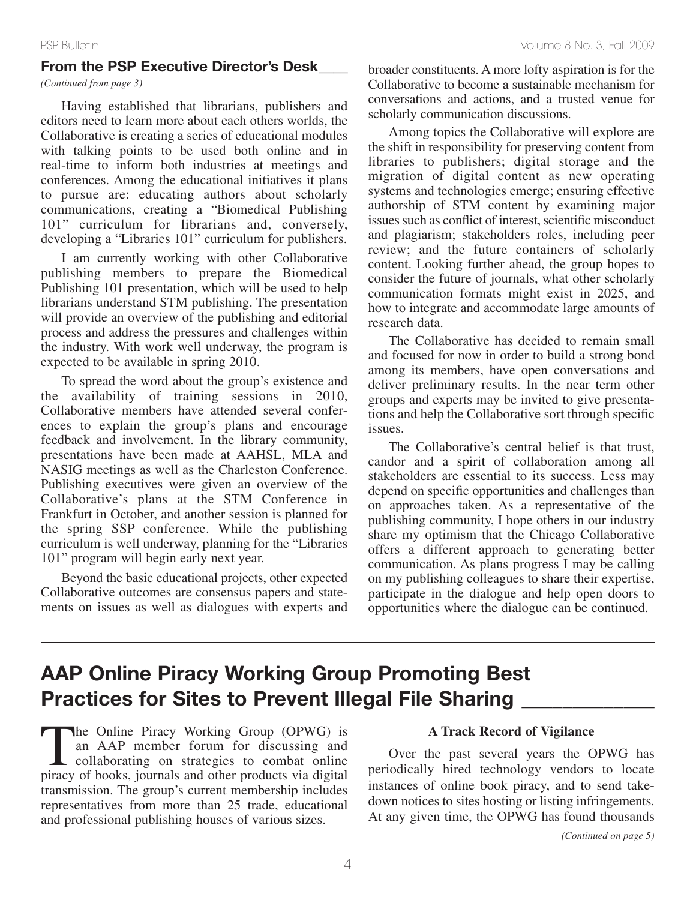### **From the PSP Executive Director's Desk\_\_\_\_**

*(Continued from page 3)*

Having established that librarians, publishers and editors need to learn more about each others worlds, the Collaborative is creating a series of educational modules with talking points to be used both online and in real-time to inform both industries at meetings and conferences. Among the educational initiatives it plans to pursue are: educating authors about scholarly communications, creating a "Biomedical Publishing 101" curriculum for librarians and, conversely, developing a "Libraries 101" curriculum for publishers.

I am currently working with other Collaborative publishing members to prepare the Biomedical Publishing 101 presentation, which will be used to help librarians understand STM publishing. The presentation will provide an overview of the publishing and editorial process and address the pressures and challenges within the industry. With work well underway, the program is expected to be available in spring 2010.

To spread the word about the group's existence and the availability of training sessions in 2010, Collaborative members have attended several conferences to explain the group's plans and encourage feedback and involvement. In the library community, presentations have been made at AAHSL, MLA and NASIG meetings as well as the Charleston Conference. Publishing executives were given an overview of the Collaborative's plans at the STM Conference in Frankfurt in October, and another session is planned for the spring SSP conference. While the publishing curriculum is well underway, planning for the "Libraries 101" program will begin early next year.

Beyond the basic educational projects, other expected Collaborative outcomes are consensus papers and statements on issues as well as dialogues with experts and broader constituents. A more lofty aspiration is for the Collaborative to become a sustainable mechanism for conversations and actions, and a trusted venue for scholarly communication discussions.

Among topics the Collaborative will explore are the shift in responsibility for preserving content from libraries to publishers; digital storage and the migration of digital content as new operating systems and technologies emerge; ensuring effective authorship of STM content by examining major issues such as conflict of interest, scientific misconduct and plagiarism; stakeholders roles, including peer review; and the future containers of scholarly content. Looking further ahead, the group hopes to consider the future of journals, what other scholarly communication formats might exist in 2025, and how to integrate and accommodate large amounts of research data.

The Collaborative has decided to remain small and focused for now in order to build a strong bond among its members, have open conversations and deliver preliminary results. In the near term other groups and experts may be invited to give presentations and help the Collaborative sort through specific issues.

The Collaborative's central belief is that trust, candor and a spirit of collaboration among all stakeholders are essential to its success. Less may depend on specific opportunities and challenges than on approaches taken. As a representative of the publishing community, I hope others in our industry share my optimism that the Chicago Collaborative offers a different approach to generating better communication. As plans progress I may be calling on my publishing colleagues to share their expertise, participate in the dialogue and help open doors to opportunities where the dialogue can be continued.

## **AAP Online Piracy Working Group Promoting Best Practices for Sites to Prevent Illegal File Sharing \_\_\_\_\_\_\_\_\_\_\_\_\_**

The Online Piracy Working Group (OPWG) is<br>an AAP member forum for discussing and<br>collaborating on strategies to combat online<br>piracy of books, journals and other products via digital an AAP member forum for discussing and collaborating on strategies to combat online piracy of books, journals and other products via digital transmission. The group's current membership includes representatives from more than 25 trade, educational and professional publishing houses of various sizes.

### **A Track Record of Vigilance**

Over the past several years the OPWG has periodically hired technology vendors to locate instances of online book piracy, and to send takedown notices to sites hosting or listing infringements. At any given time, the OPWG has found thousands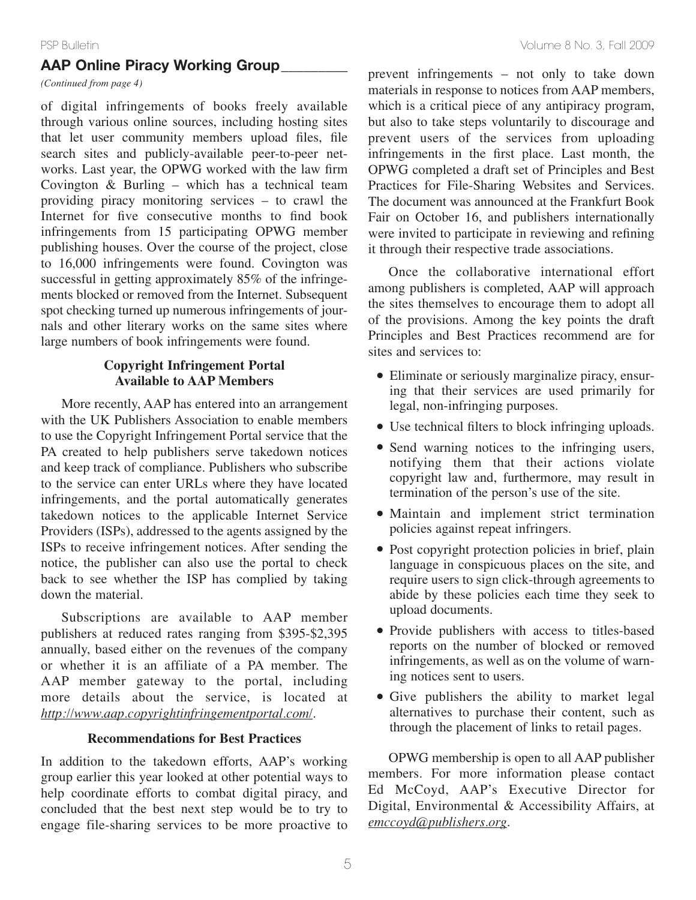### **AAP Online Piracy Working Group\_\_\_\_\_\_\_\_\_**

*(Continued from page 4)*

of digital infringements of books freely available through various online sources, including hosting sites that let user community members upload files, file search sites and publicly-available peer-to-peer networks. Last year, the OPWG worked with the law firm Covington & Burling – which has a technical team providing piracy monitoring services – to crawl the Internet for five consecutive months to find book infringements from 15 participating OPWG member publishing houses. Over the course of the project, close to 16,000 infringements were found. Covington was successful in getting approximately 85% of the infringements blocked or removed from the Internet. Subsequent spot checking turned up numerous infringements of journals and other literary works on the same sites where large numbers of book infringements were found.

### **Copyright Infringement Portal Available to AAP Members**

More recently, AAP has entered into an arrangement with the UK Publishers Association to enable members to use the Copyright Infringement Portal service that the PA created to help publishers serve takedown notices and keep track of compliance. Publishers who subscribe to the service can enter URLs where they have located infringements, and the portal automatically generates takedown notices to the applicable Internet Service Providers (ISPs), addressed to the agents assigned by the ISPs to receive infringement notices. After sending the notice, the publisher can also use the portal to check back to see whether the ISP has complied by taking down the material.

Subscriptions are available to AAP member publishers at reduced rates ranging from \$395-\$2,395 annually, based either on the revenues of the company or whether it is an affiliate of a PA member. The AAP member gateway to the portal, including more details about the service, is located at *http://www.aap.copyrightinfringementportal.com/*.

#### **Recommendations for Best Practices**

In addition to the takedown efforts, AAP's working group earlier this year looked at other potential ways to help coordinate efforts to combat digital piracy, and concluded that the best next step would be to try to engage file-sharing services to be more proactive to prevent infringements – not only to take down materials in response to notices from AAP members, which is a critical piece of any antipiracy program, but also to take steps voluntarily to discourage and prevent users of the services from uploading infringements in the first place. Last month, the OPWG completed a draft set of Principles and Best Practices for File-Sharing Websites and Services. The document was announced at the Frankfurt Book Fair on October 16, and publishers internationally were invited to participate in reviewing and refining it through their respective trade associations.

Once the collaborative international effort among publishers is completed, AAP will approach the sites themselves to encourage them to adopt all of the provisions. Among the key points the draft Principles and Best Practices recommend are for sites and services to:

- Eliminate or seriously marginalize piracy, ensuring that their services are used primarily for legal, non-infringing purposes.
- Use technical filters to block infringing uploads.
- Send warning notices to the infringing users, notifying them that their actions violate copyright law and, furthermore, may result in termination of the person's use of the site.
- Maintain and implement strict termination policies against repeat infringers.
- Post copyright protection policies in brief, plain language in conspicuous places on the site, and require users to sign click-through agreements to abide by these policies each time they seek to upload documents.
- Provide publishers with access to titles-based reports on the number of blocked or removed infringements, as well as on the volume of warning notices sent to users.
- Give publishers the ability to market legal alternatives to purchase their content, such as through the placement of links to retail pages.

OPWG membership is open to all AAP publisher members. For more information please contact Ed McCoyd, AAP's Executive Director for Digital, Environmental & Accessibility Affairs, at *emccoyd@publishers.org*.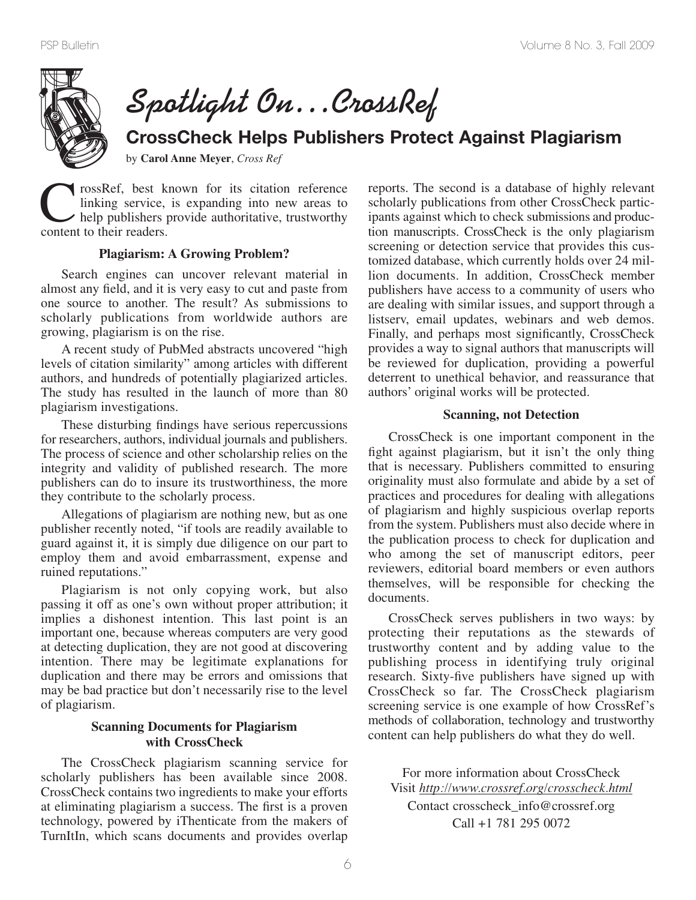

**Spotlight On…CrossRef**

## **CrossCheck Helps Publishers Protect Against Plagiarism**

by **Carol Anne Meyer**, *Cross Ref*

CrossRef, best known for its citation reference linking service, is expanding into new areas to help publishers provide authoritative, trustworthy content to their readers. linking service, is expanding into new areas to help publishers provide authoritative, trustworthy content to their readers.

#### **Plagiarism: A Growing Problem?**

Search engines can uncover relevant material in almost any field, and it is very easy to cut and paste from one source to another. The result? As submissions to scholarly publications from worldwide authors are growing, plagiarism is on the rise.

A recent study of PubMed abstracts uncovered "high levels of citation similarity" among articles with different authors, and hundreds of potentially plagiarized articles. The study has resulted in the launch of more than 80 plagiarism investigations.

These disturbing findings have serious repercussions for researchers, authors, individual journals and publishers. The process of science and other scholarship relies on the integrity and validity of published research. The more publishers can do to insure its trustworthiness, the more they contribute to the scholarly process.

Allegations of plagiarism are nothing new, but as one publisher recently noted, "if tools are readily available to guard against it, it is simply due diligence on our part to employ them and avoid embarrassment, expense and ruined reputations."

Plagiarism is not only copying work, but also passing it off as one's own without proper attribution; it implies a dishonest intention. This last point is an important one, because whereas computers are very good at detecting duplication, they are not good at discovering intention. There may be legitimate explanations for duplication and there may be errors and omissions that may be bad practice but don't necessarily rise to the level of plagiarism.

#### **Scanning Documents for Plagiarism with CrossCheck**

The CrossCheck plagiarism scanning service for scholarly publishers has been available since 2008. CrossCheck contains two ingredients to make your efforts at eliminating plagiarism a success. The first is a proven technology, powered by iThenticate from the makers of TurnItIn, which scans documents and provides overlap

reports. The second is a database of highly relevant scholarly publications from other CrossCheck participants against which to check submissions and production manuscripts. CrossCheck is the only plagiarism screening or detection service that provides this customized database, which currently holds over 24 million documents. In addition, CrossCheck member publishers have access to a community of users who are dealing with similar issues, and support through a listserv, email updates, webinars and web demos. Finally, and perhaps most significantly, CrossCheck provides a way to signal authors that manuscripts will be reviewed for duplication, providing a powerful deterrent to unethical behavior, and reassurance that authors' original works will be protected.

#### **Scanning, not Detection**

CrossCheck is one important component in the fight against plagiarism, but it isn't the only thing that is necessary. Publishers committed to ensuring originality must also formulate and abide by a set of practices and procedures for dealing with allegations of plagiarism and highly suspicious overlap reports from the system. Publishers must also decide where in the publication process to check for duplication and who among the set of manuscript editors, peer reviewers, editorial board members or even authors themselves, will be responsible for checking the documents.

CrossCheck serves publishers in two ways: by protecting their reputations as the stewards of trustworthy content and by adding value to the publishing process in identifying truly original research. Sixty-five publishers have signed up with CrossCheck so far. The CrossCheck plagiarism screening service is one example of how CrossRef's methods of collaboration, technology and trustworthy content can help publishers do what they do well.

For more information about CrossCheck Visit *http://www.crossref.org/crosscheck.html* Contact crosscheck\_info@crossref.org Call +1 781 295 0072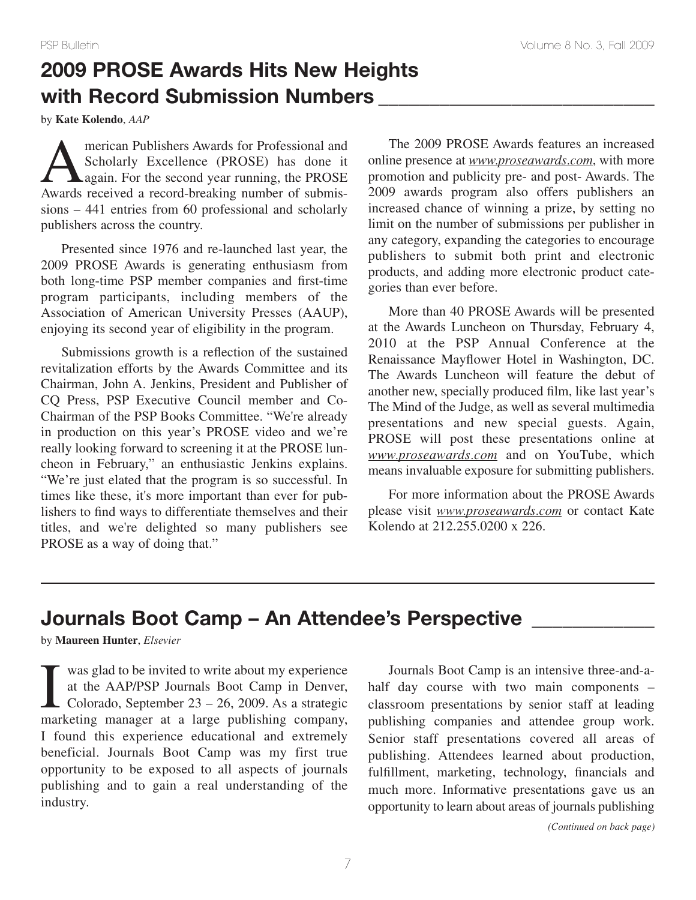## **2009 PROSE Awards Hits New Heights with Record Submission Numbers \_\_\_\_\_\_\_\_\_\_\_\_\_\_\_\_\_\_\_\_\_\_\_\_\_\_\_**

by **Kate Kolendo**, *AAP*

merican Publishers Awards for Professional and<br>Scholarly Excellence (PROSE) has done it<br>again. For the second year running, the PROSE<br>Awards received a record-breaking number of submis-Scholarly Excellence (PROSE) has done it again. For the second year running, the PROSE Awards received a record-breaking number of submissions – 441 entries from 60 professional and scholarly publishers across the country.

Presented since 1976 and re-launched last year, the 2009 PROSE Awards is generating enthusiasm from both long-time PSP member companies and first-time program participants, including members of the Association of American University Presses (AAUP), enjoying its second year of eligibility in the program.

Submissions growth is a reflection of the sustained revitalization efforts by the Awards Committee and its Chairman, John A. Jenkins, President and Publisher of CQ Press, PSP Executive Council member and Co-Chairman of the PSP Books Committee. "We're already in production on this year's PROSE video and we're really looking forward to screening it at the PROSE luncheon in February," an enthusiastic Jenkins explains. "We're just elated that the program is so successful. In times like these, it's more important than ever for publishers to find ways to differentiate themselves and their titles, and we're delighted so many publishers see PROSE as a way of doing that."

The 2009 PROSE Awards features an increased online presence at *www.proseawards.com*, with more promotion and publicity pre- and post- Awards. The 2009 awards program also offers publishers an increased chance of winning a prize, by setting no limit on the number of submissions per publisher in any category, expanding the categories to encourage publishers to submit both print and electronic products, and adding more electronic product categories than ever before.

More than 40 PROSE Awards will be presented at the Awards Luncheon on Thursday, February 4, 2010 at the PSP Annual Conference at the Renaissance Mayflower Hotel in Washington, DC. The Awards Luncheon will feature the debut of another new, specially produced film, like last year's The Mind of the Judge, as well as several multimedia presentations and new special guests. Again, PROSE will post these presentations online at *www.proseawards.com* and on YouTube, which means invaluable exposure for submitting publishers.

For more information about the PROSE Awards please visit *www.proseawards.com* or contact Kate Kolendo at 212.255.0200 x 226.

## **Journals Boot Camp – An Attendee's Perspective \_\_\_\_\_\_\_\_\_\_\_\_**

by **Maureen Hunter**, *Elsevier*

 $\prod_{\text{max}}$ was glad to be invited to write about my experience at the AAP/PSP Journals Boot Camp in Denver, Colorado, September 23 – 26, 2009. As a strategic marketing manager at a large publishing company, I found this experience educational and extremely beneficial. Journals Boot Camp was my first true opportunity to be exposed to all aspects of journals publishing and to gain a real understanding of the industry.

Journals Boot Camp is an intensive three-and-ahalf day course with two main components classroom presentations by senior staff at leading publishing companies and attendee group work. Senior staff presentations covered all areas of publishing. Attendees learned about production, fulfillment, marketing, technology, financials and much more. Informative presentations gave us an opportunity to learn about areas of journals publishing